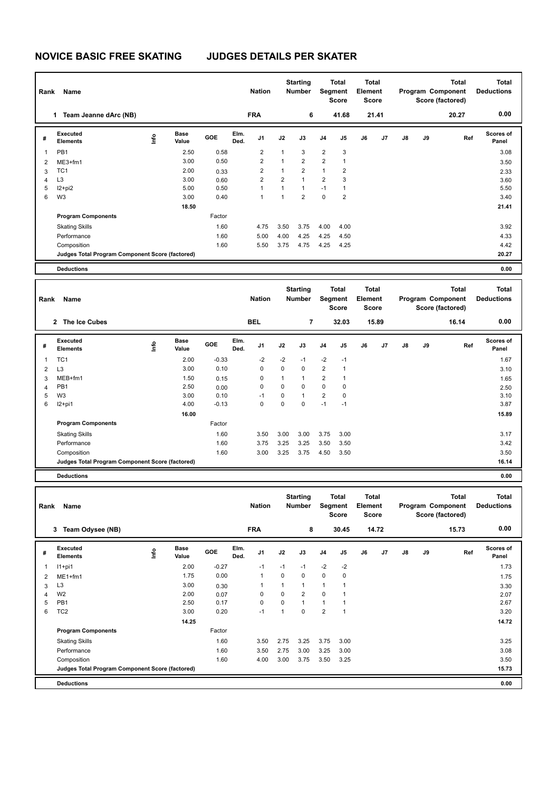## **NOVICE BASIC FREE SKATING JUDGES DETAILS PER SKATER**

| Rank           | Name                                            |                           |                      |                 |              | <b>Nation</b>                |                                | <b>Starting</b><br>Number        |                        | <b>Total</b><br>Segment<br><b>Score</b> | Element | <b>Total</b><br>Score |    |    | <b>Total</b><br>Program Component<br>Score (factored) | <b>Total</b><br><b>Deductions</b> |
|----------------|-------------------------------------------------|---------------------------|----------------------|-----------------|--------------|------------------------------|--------------------------------|----------------------------------|------------------------|-----------------------------------------|---------|-----------------------|----|----|-------------------------------------------------------|-----------------------------------|
|                | Team Jeanne dArc (NB)<br>$\mathbf 1$            |                           |                      |                 |              | <b>FRA</b>                   |                                | 6                                |                        | 41.68                                   |         | 21.41                 |    |    | 20.27                                                 | 0.00                              |
| #              | <b>Executed</b><br><b>Elements</b>              | e                         | <b>Base</b><br>Value | GOE             | Elm.<br>Ded. | J1                           | J2                             | J3                               | J4                     | J5                                      | J6      | J7                    | J8 | J9 | Ref                                                   | <b>Scores of</b><br>Panel         |
| 1              | PB1                                             |                           | 2.50                 | 0.58            |              | $\overline{2}$               | 1                              | 3                                | $\boldsymbol{2}$       | 3                                       |         |                       |    |    |                                                       | 3.08                              |
| 2              | ME3+fm1                                         |                           | 3.00                 | 0.50            |              | $\overline{2}$               | $\mathbf{1}$                   | $\overline{2}$                   | $\overline{2}$         | $\mathbf{1}$                            |         |                       |    |    |                                                       | 3.50                              |
| 3              | TC <sub>1</sub>                                 |                           | 2.00                 | 0.33            |              | $\overline{2}$               | $\mathbf{1}$                   | $\overline{\mathbf{c}}$          | $\mathbf{1}$           | $\overline{\mathbf{c}}$                 |         |                       |    |    |                                                       | 2.33                              |
| 4<br>5         | L3                                              |                           | 3.00<br>5.00         | 0.60<br>0.50    |              | $\overline{\mathbf{c}}$<br>1 | $\overline{2}$<br>$\mathbf{1}$ | $\mathbf{1}$<br>$\mathbf{1}$     | $\overline{2}$<br>$-1$ | 3<br>1                                  |         |                       |    |    |                                                       | 3.60<br>5.50                      |
| 6              | $12+pi2$<br>W <sub>3</sub>                      |                           | 3.00                 | 0.40            |              | $\mathbf{1}$                 | $\mathbf{1}$                   | $\overline{2}$                   | $\pmb{0}$              | $\overline{2}$                          |         |                       |    |    |                                                       | 3.40                              |
|                |                                                 |                           | 18.50                |                 |              |                              |                                |                                  |                        |                                         |         |                       |    |    |                                                       | 21.41                             |
|                | <b>Program Components</b>                       |                           |                      | Factor          |              |                              |                                |                                  |                        |                                         |         |                       |    |    |                                                       |                                   |
|                | <b>Skating Skills</b>                           |                           |                      | 1.60            |              | 4.75                         | 3.50                           | 3.75                             | 4.00                   | 4.00                                    |         |                       |    |    |                                                       | 3.92                              |
|                | Performance                                     |                           |                      | 1.60            |              | 5.00                         | 4.00                           | 4.25                             | 4.25                   | 4.50                                    |         |                       |    |    |                                                       | 4.33                              |
|                | Composition                                     |                           |                      | 1.60            |              | 5.50                         | 3.75                           | 4.75                             | 4.25                   | 4.25                                    |         |                       |    |    |                                                       | 4.42                              |
|                | Judges Total Program Component Score (factored) |                           |                      |                 |              |                              |                                |                                  |                        |                                         |         |                       |    |    |                                                       | 20.27                             |
|                | <b>Deductions</b>                               |                           |                      |                 |              |                              |                                |                                  |                        |                                         |         |                       |    |    |                                                       | 0.00                              |
|                |                                                 |                           |                      |                 |              |                              |                                |                                  |                        |                                         |         |                       |    |    |                                                       |                                   |
| Rank           | Name                                            |                           |                      |                 |              | <b>Nation</b>                |                                | <b>Starting</b><br><b>Number</b> |                        | Total<br>Segment<br><b>Score</b>        | Element | <b>Total</b><br>Score |    |    | <b>Total</b><br>Program Component<br>Score (factored) | <b>Total</b><br><b>Deductions</b> |
|                | 2 The Ice Cubes                                 |                           |                      |                 |              | <b>BEL</b>                   |                                | 7                                |                        | 32.03                                   |         | 15.89                 |    |    | 16.14                                                 | 0.00                              |
| #              | <b>Executed</b><br><b>Elements</b>              | $\mathop{\mathsf{Inflo}}$ | <b>Base</b><br>Value | GOE             | Elm.<br>Ded. | J1                           | J2                             | J3                               | J4                     | J5                                      | J6      | J7                    | J8 | J9 | Ref                                                   | <b>Scores of</b><br>Panel         |
| 1              | TC <sub>1</sub>                                 |                           | 2.00                 | $-0.33$         |              | $-2$                         | -2                             | -1                               | -2                     | $-1$                                    |         |                       |    |    |                                                       | 1.67                              |
| 2              | L <sub>3</sub>                                  |                           | 3.00                 | 0.10            |              | 0                            | 0                              | $\mathbf 0$                      | $\overline{2}$         | 1                                       |         |                       |    |    |                                                       | 3.10                              |
| 3              | MEB+fm1                                         |                           | 1.50                 | 0.15            |              | 0                            | $\mathbf{1}$                   | $\mathbf{1}$                     | $\boldsymbol{2}$       | 1                                       |         |                       |    |    |                                                       | 1.65                              |
| $\overline{4}$ | PB1                                             |                           | 2.50                 | 0.00            |              | 0                            | 0                              | $\mathbf 0$                      | $\pmb{0}$              | 0                                       |         |                       |    |    |                                                       | 2.50                              |
| 5<br>6         | W3<br>$12+pi1$                                  |                           | 3.00<br>4.00         | 0.10<br>$-0.13$ |              | $-1$<br>0                    | 0<br>0                         | $\mathbf{1}$<br>$\mathbf 0$      | $\overline{2}$<br>$-1$ | 0<br>$-1$                               |         |                       |    |    |                                                       | 3.10<br>3.87                      |
|                |                                                 |                           | 16.00                |                 |              |                              |                                |                                  |                        |                                         |         |                       |    |    |                                                       | 15.89                             |
|                | <b>Program Components</b>                       |                           |                      | Factor          |              |                              |                                |                                  |                        |                                         |         |                       |    |    |                                                       |                                   |
|                | <b>Skating Skills</b>                           |                           |                      | 1.60            |              | 3.50                         | 3.00                           | 3.00                             | 3.75                   | 3.00                                    |         |                       |    |    |                                                       | 3.17                              |
|                | Performance                                     |                           |                      | 1.60            |              | 3.75                         | 3.25                           | 3.25                             | 3.50                   | 3.50                                    |         |                       |    |    |                                                       | 3.42                              |
|                | Composition                                     |                           |                      | 1.60            |              | 3.00                         | 3.25                           | 3.75                             | 4.50                   | 3.50                                    |         |                       |    |    |                                                       | 3.50                              |
|                | Judges Total Program Component Score (factored) |                           |                      |                 |              |                              |                                |                                  |                        |                                         |         |                       |    |    |                                                       | 16.14                             |
|                | <b>Deductions</b>                               |                           |                      |                 |              |                              |                                |                                  |                        |                                         |         |                       |    |    |                                                       | 0.00                              |
|                |                                                 |                           |                      |                 |              |                              |                                |                                  |                        |                                         |         |                       |    |    |                                                       |                                   |
|                | Rank Name                                       |                           |                      |                 |              | <b>Nation</b>                |                                | <b>Starting</b><br><b>Number</b> |                        | Total<br>Segment<br>Score               | Element | Total<br><b>Score</b> |    |    | Total<br>Program Component<br>Score (factored)        | Total<br><b>Deductions</b>        |
|                | 3 Team Odysee (NB)                              |                           |                      |                 |              | <b>FRA</b>                   |                                | 8                                |                        | 30.45                                   |         | 14.72                 |    |    | 15.73                                                 | 0.00                              |
|                | <b>Executed</b>                                 |                           | Base                 |                 | Elm.         |                              |                                |                                  |                        |                                         |         |                       |    |    |                                                       | Scores of                         |
| #              | <b>Elements</b>                                 | $\mathop{\mathsf{Inflo}}$ | Value                | GOE             | Ded.         | J1                           | J2                             | J3                               | J4                     | J5                                      | J6      | J7                    | J8 | J9 | Ref                                                   | Panel                             |
| 1              | $11+pi1$                                        |                           | 2.00                 | $-0.27$         |              | $-1$                         | $-1$                           | $-1$                             | $-2$                   | $-2$                                    |         |                       |    |    |                                                       | 1.73                              |
| 2              | ME1+fm1                                         |                           | 1.75                 | 0.00            |              | 1                            | 0                              | 0                                | $\pmb{0}$              | $\pmb{0}$                               |         |                       |    |    |                                                       | 1.75                              |
| 3              | L <sub>3</sub>                                  |                           | 3.00                 | 0.30            |              | $\mathbf{1}$                 | $\mathbf{1}$                   | $\mathbf{1}$                     | $\mathbf{1}$           | $\mathbf{1}$                            |         |                       |    |    |                                                       | 3.30                              |
| 4              | W <sub>2</sub>                                  |                           | 2.00                 | 0.07            |              | 0                            | 0                              | $\overline{2}$                   | $\pmb{0}$              | $\mathbf{1}$                            |         |                       |    |    |                                                       | 2.07                              |
| 5              | PB1                                             |                           | 2.50                 | 0.17            |              | 0                            | 0                              | $\mathbf{1}$<br>$\pmb{0}$        | $\mathbf{1}$           | $\mathbf{1}$                            |         |                       |    |    |                                                       | 2.67                              |
| 6              | TC <sub>2</sub>                                 |                           | 3.00<br>14.25        | 0.20            |              | $-1$                         | $\mathbf{1}$                   |                                  | $\overline{2}$         | $\mathbf{1}$                            |         |                       |    |    |                                                       | 3.20<br>14.72                     |
|                | <b>Program Components</b>                       |                           |                      | Factor          |              |                              |                                |                                  |                        |                                         |         |                       |    |    |                                                       |                                   |
|                | <b>Skating Skills</b>                           |                           |                      | 1.60            |              | 3.50                         | 2.75                           | 3.25                             | 3.75                   | 3.00                                    |         |                       |    |    |                                                       | 3.25                              |
|                | Performance                                     |                           |                      | 1.60            |              | 3.50                         | 2.75                           | 3.00                             | 3.25                   | 3.00                                    |         |                       |    |    |                                                       | 3.08                              |
|                | Composition                                     |                           |                      | 1.60            |              | 4.00                         | 3.00                           | 3.75                             | 3.50                   | 3.25                                    |         |                       |    |    |                                                       | 3.50                              |
|                | Judges Total Program Component Score (factored) |                           |                      |                 |              |                              |                                |                                  |                        |                                         |         |                       |    |    |                                                       | 15.73                             |

**Deductions 0.00**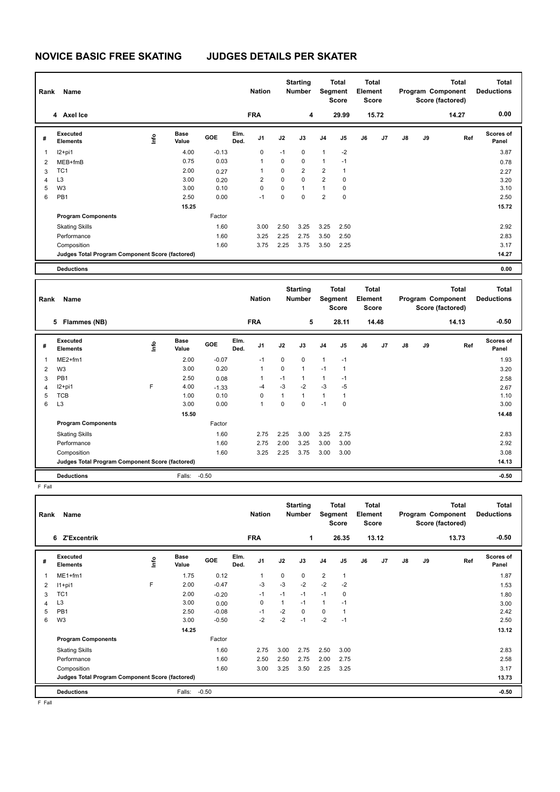## **NOVICE BASIC FREE SKATING JUDGES DETAILS PER SKATER**

| Rank           | <b>Name</b>                                     |   |                      |         |              | <b>Nation</b>           |      | <b>Starting</b><br><b>Number</b> |                | <b>Total</b><br>Segment<br><b>Score</b>        | <b>Total</b><br>Element<br>Score        |       |               |    | <b>Total</b><br>Program Component<br>Score (factored) | <b>Total</b><br><b>Deductions</b> |
|----------------|-------------------------------------------------|---|----------------------|---------|--------------|-------------------------|------|----------------------------------|----------------|------------------------------------------------|-----------------------------------------|-------|---------------|----|-------------------------------------------------------|-----------------------------------|
|                | 4 Axel Ice                                      |   |                      |         |              | <b>FRA</b>              |      | 4                                |                | 29.99                                          |                                         | 15.72 |               |    | 14.27                                                 | 0.00                              |
| #              | Executed<br><b>Elements</b>                     | ۴ | <b>Base</b><br>Value | GOE     | Elm.<br>Ded. | J <sub>1</sub>          | J2   | J3                               | J <sub>4</sub> | J5                                             | J6                                      | J7    | $\mathsf{J}8$ | J9 | Ref                                                   | <b>Scores of</b><br>Panel         |
| $\mathbf 1$    | $12+pi1$                                        |   | 4.00                 | $-0.13$ |              | $\Omega$                | $-1$ | 0                                | $\mathbf{1}$   | $-2$                                           |                                         |       |               |    |                                                       | 3.87                              |
| $\overline{2}$ | MEB+fmB                                         |   | 0.75                 | 0.03    |              | 1                       | 0    | $\Omega$                         | $\mathbf{1}$   | $-1$                                           |                                         |       |               |    |                                                       | 0.78                              |
| 3              | TC <sub>1</sub>                                 |   | 2.00                 | 0.27    |              | 1                       | 0    | $\overline{2}$                   | $\overline{2}$ | 1                                              |                                         |       |               |    |                                                       | 2.27                              |
| 4              | L <sub>3</sub>                                  |   | 3.00                 | 0.20    |              | $\overline{\mathbf{c}}$ | 0    | $\mathbf 0$                      | $\overline{2}$ | 0                                              |                                         |       |               |    |                                                       | 3.20                              |
| 5              | W <sub>3</sub>                                  |   | 3.00                 | 0.10    |              | $\Omega$                | 0    | $\mathbf{1}$                     | $\mathbf{1}$   | 0                                              |                                         |       |               |    |                                                       | 3.10                              |
| 6              | PB <sub>1</sub>                                 |   | 2.50                 | 0.00    |              | $-1$                    | 0    | $\mathbf 0$                      | $\overline{2}$ | $\mathbf 0$                                    |                                         |       |               |    |                                                       | 2.50                              |
|                |                                                 |   | 15.25                |         |              |                         |      |                                  |                |                                                |                                         |       |               |    |                                                       | 15.72                             |
|                | <b>Program Components</b>                       |   |                      | Factor  |              |                         |      |                                  |                |                                                |                                         |       |               |    |                                                       |                                   |
|                | <b>Skating Skills</b>                           |   |                      | 1.60    |              | 3.00                    | 2.50 | 3.25                             | 3.25           | 2.50                                           |                                         |       |               |    |                                                       | 2.92                              |
|                | Performance                                     |   |                      | 1.60    |              | 3.25                    | 2.25 | 2.75                             | 3.50           | 2.50                                           |                                         |       |               |    |                                                       | 2.83                              |
|                | Composition                                     |   |                      | 1.60    |              | 3.75                    | 2.25 | 3.75                             | 3.50           | 2.25                                           |                                         |       |               |    |                                                       | 3.17                              |
|                | Judges Total Program Component Score (factored) |   |                      |         |              |                         |      |                                  |                |                                                |                                         |       |               |    |                                                       | 14.27                             |
|                | <b>Deductions</b>                               |   |                      |         |              |                         |      |                                  |                |                                                |                                         |       |               |    |                                                       | 0.00                              |
|                |                                                 |   |                      |         |              |                         |      |                                  |                |                                                |                                         |       |               |    |                                                       |                                   |
| Rank           | <b>Name</b>                                     |   |                      |         |              | <b>Nation</b>           |      | <b>Starting</b><br><b>Number</b> |                | <b>Total</b><br><b>Segment</b><br><b>Score</b> | <b>Total</b><br>Element<br><b>Score</b> |       |               |    | <b>Total</b><br>Program Component<br>Score (factored) | <b>Total</b><br><b>Deductions</b> |
|                | Flammes (NB)<br>5                               |   |                      |         |              | <b>FRA</b>              |      | 5                                |                | 28.11                                          |                                         | 14.48 |               |    | 14.13                                                 | $-0.50$                           |
| #              | Executed<br><b>Elements</b>                     | ۴ | <b>Base</b><br>Value | GOE     | Elm.<br>Ded. | J <sub>1</sub>          | J2   | J3                               | J <sub>4</sub> | J5                                             | J6                                      | J7    | $\mathsf{J}8$ | J9 | Ref                                                   | <b>Scores of</b><br>Panel         |
| $\overline{1}$ | $ME2+fm1$                                       |   | 2.00                 | $-0.07$ |              | $-1$                    | 0    | $\mathbf 0$                      | $\mathbf{1}$   | $-1$                                           |                                         |       |               |    |                                                       | 1.93                              |
| 2              | W <sub>3</sub>                                  |   | 3.00                 | 0.20    |              | $\mathbf{1}$            | 0    | $\mathbf{1}$                     | $-1$           | 1                                              |                                         |       |               |    |                                                       | 3.20                              |

|    | <b>Deductions</b>                               | Falls:    | $-0.50$ |      |      |          |                          |      | $-0.50$ |
|----|-------------------------------------------------|-----------|---------|------|------|----------|--------------------------|------|---------|
|    | Judges Total Program Component Score (factored) |           |         |      |      |          |                          |      | 14.13   |
|    | Composition                                     |           | 1.60    | 3.25 | 2.25 | 3.75     | 3.00                     | 3.00 | 3.08    |
|    | Performance                                     |           | 1.60    | 2.75 | 2.00 | 3.25     | 3.00                     | 3.00 | 2.92    |
|    | <b>Skating Skills</b>                           |           | 1.60    | 2.75 | 2.25 | 3.00     | 3.25                     | 2.75 | 2.83    |
|    | <b>Program Components</b>                       |           | Factor  |      |      |          |                          |      |         |
|    |                                                 | 15.50     |         |      |      |          |                          |      | 14.48   |
| 6  | L <sub>3</sub>                                  | 3.00      | 0.00    |      | 0    | $\Omega$ | $-1$                     | 0    | 3.00    |
| 5. | <b>TCB</b>                                      | 1.00      | 0.10    | 0    | 1    |          |                          |      | 1.10    |
| 4  | $12+pi1$                                        | F<br>4.00 | $-1.33$ | $-4$ | $-3$ | $-2$     | -3                       | $-5$ | 2.67    |
| 3  | PB <sub>1</sub>                                 | 2.50      | 0.08    |      | $-1$ |          |                          | $-1$ | 2.58    |
| 2  | W <sub>3</sub>                                  | 3.00      | 0.20    |      | 0    |          | $\overline{\phantom{a}}$ |      | 3.20    |

F Fall

| Rank                    | Name                                            |   |                      |            |              | <b>Nation</b>  |      | <b>Starting</b><br><b>Number</b> | Segment        | Total<br><b>Score</b> | Total<br>Element<br><b>Score</b> |                |               |    | <b>Total</b><br>Program Component<br>Score (factored) | Total<br><b>Deductions</b> |
|-------------------------|-------------------------------------------------|---|----------------------|------------|--------------|----------------|------|----------------------------------|----------------|-----------------------|----------------------------------|----------------|---------------|----|-------------------------------------------------------|----------------------------|
|                         | 6 Z'Excentrik                                   |   |                      |            |              | <b>FRA</b>     |      | 1                                |                | 26.35                 |                                  | 13.12          |               |    | 13.73                                                 | $-0.50$                    |
| #                       | Executed<br><b>Elements</b>                     | ۴ | <b>Base</b><br>Value | <b>GOE</b> | Elm.<br>Ded. | J <sub>1</sub> | J2   | J3                               | J <sub>4</sub> | J <sub>5</sub>        | J6                               | J <sub>7</sub> | $\mathsf{J}8$ | J9 | Ref                                                   | Scores of<br>Panel         |
| $\overline{\mathbf{1}}$ | $ME1+fm1$                                       |   | 1.75                 | 0.12       |              | $\overline{1}$ | 0    | 0                                | $\overline{2}$ | 1                     |                                  |                |               |    |                                                       | 1.87                       |
| 2                       | $11+pi1$                                        | F | 2.00                 | $-0.47$    |              | $-3$           | $-3$ | $-2$                             | $-2$           | $-2$                  |                                  |                |               |    |                                                       | 1.53                       |
| 3                       | TC <sub>1</sub>                                 |   | 2.00                 | $-0.20$    |              | -1             | $-1$ | $-1$                             | $-1$           | 0                     |                                  |                |               |    |                                                       | 1.80                       |
| 4                       | L3                                              |   | 3.00                 | 0.00       |              | 0              | 1    | $-1$                             | $\mathbf{1}$   | $-1$                  |                                  |                |               |    |                                                       | 3.00                       |
| 5                       | PB <sub>1</sub>                                 |   | 2.50                 | $-0.08$    |              | $-1$           | $-2$ | 0                                | $\Omega$       | $\mathbf{1}$          |                                  |                |               |    |                                                       | 2.42                       |
| 6                       | W <sub>3</sub>                                  |   | 3.00                 | $-0.50$    |              | $-2$           | $-2$ | $-1$                             | $-2$           | $-1$                  |                                  |                |               |    |                                                       | 2.50                       |
|                         |                                                 |   | 14.25                |            |              |                |      |                                  |                |                       |                                  |                |               |    |                                                       | 13.12                      |
|                         | <b>Program Components</b>                       |   |                      | Factor     |              |                |      |                                  |                |                       |                                  |                |               |    |                                                       |                            |
|                         | <b>Skating Skills</b>                           |   |                      | 1.60       |              | 2.75           | 3.00 | 2.75                             | 2.50           | 3.00                  |                                  |                |               |    |                                                       | 2.83                       |
|                         | Performance                                     |   |                      | 1.60       |              | 2.50           | 2.50 | 2.75                             | 2.00           | 2.75                  |                                  |                |               |    |                                                       | 2.58                       |
|                         | Composition                                     |   |                      | 1.60       |              | 3.00           | 3.25 | 3.50                             | 2.25           | 3.25                  |                                  |                |               |    |                                                       | 3.17                       |
|                         | Judges Total Program Component Score (factored) |   |                      |            |              |                |      |                                  |                |                       |                                  |                |               |    |                                                       | 13.73                      |
|                         | <b>Deductions</b>                               |   | Falls:               | $-0.50$    |              |                |      |                                  |                |                       |                                  |                |               |    |                                                       | $-0.50$                    |